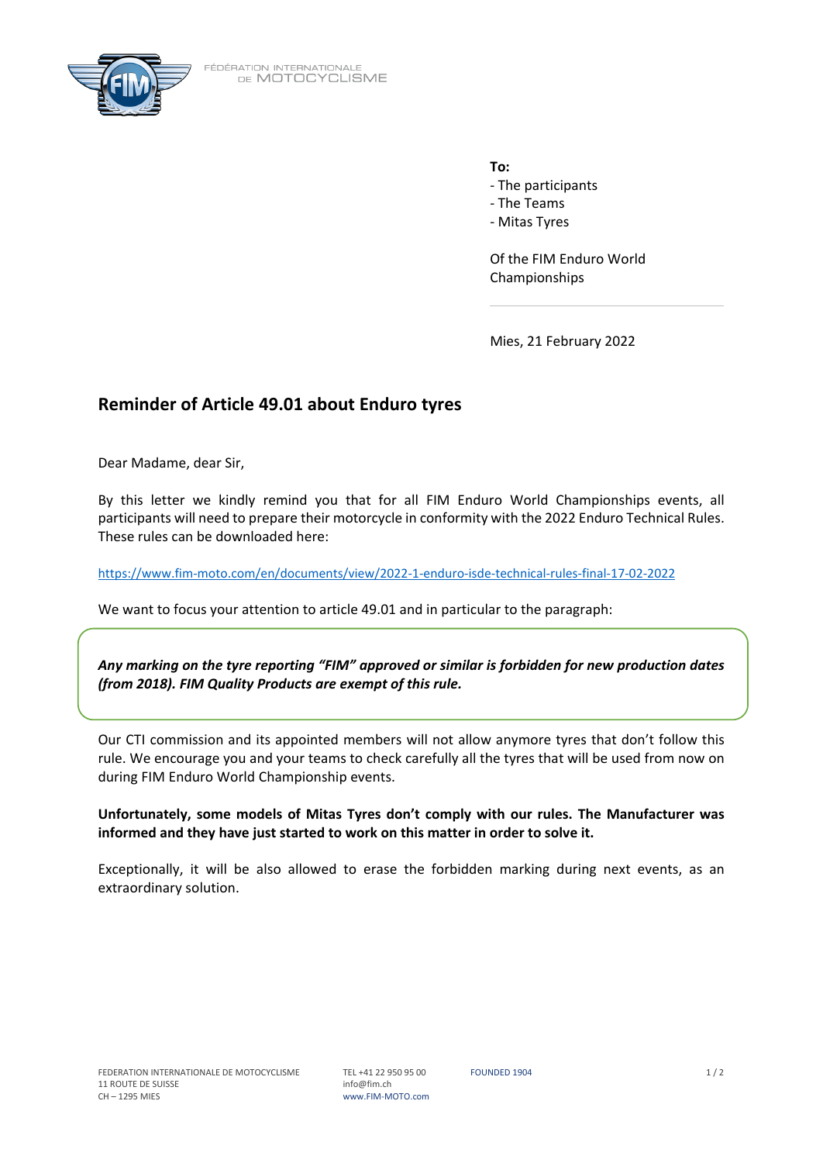

FÉDÉRATION INTERNATIONALE<br>DE MOTOCYCLISME

**To:**

- The participants
- The Teams
- Mitas Tyres

Of the FIM Enduro World Championships

Mies, 21 February 2022

## **Reminder of Article 49.01 about Enduro tyres**

Dear Madame, dear Sir,

By this letter we kindly remind you that for all FIM Enduro World Championships events, all participants will need to prepare their motorcycle in conformity with the 2022 Enduro Technical Rules. These rules can be downloaded here:

<https://www.fim-moto.com/en/documents/view/2022-1-enduro-isde-technical-rules-final-17-02-2022>

We want to focus your attention to article 49.01 and in particular to the paragraph:

*Any marking on the tyre reporting "FIM" approved or similar is forbidden for new production dates (from 2018). FIM Quality Products are exempt of this rule.*

Our CTI commission and its appointed members will not allow anymore tyres that don't follow this rule. We encourage you and your teams to check carefully all the tyres that will be used from now on during FIM Enduro World Championship events.

**Unfortunately, some models of Mitas Tyres don't comply with our rules. The Manufacturer was informed and they have just started to work on this matter in order to solve it.**

Exceptionally, it will be also allowed to erase the forbidden marking during next events, as an extraordinary solution.